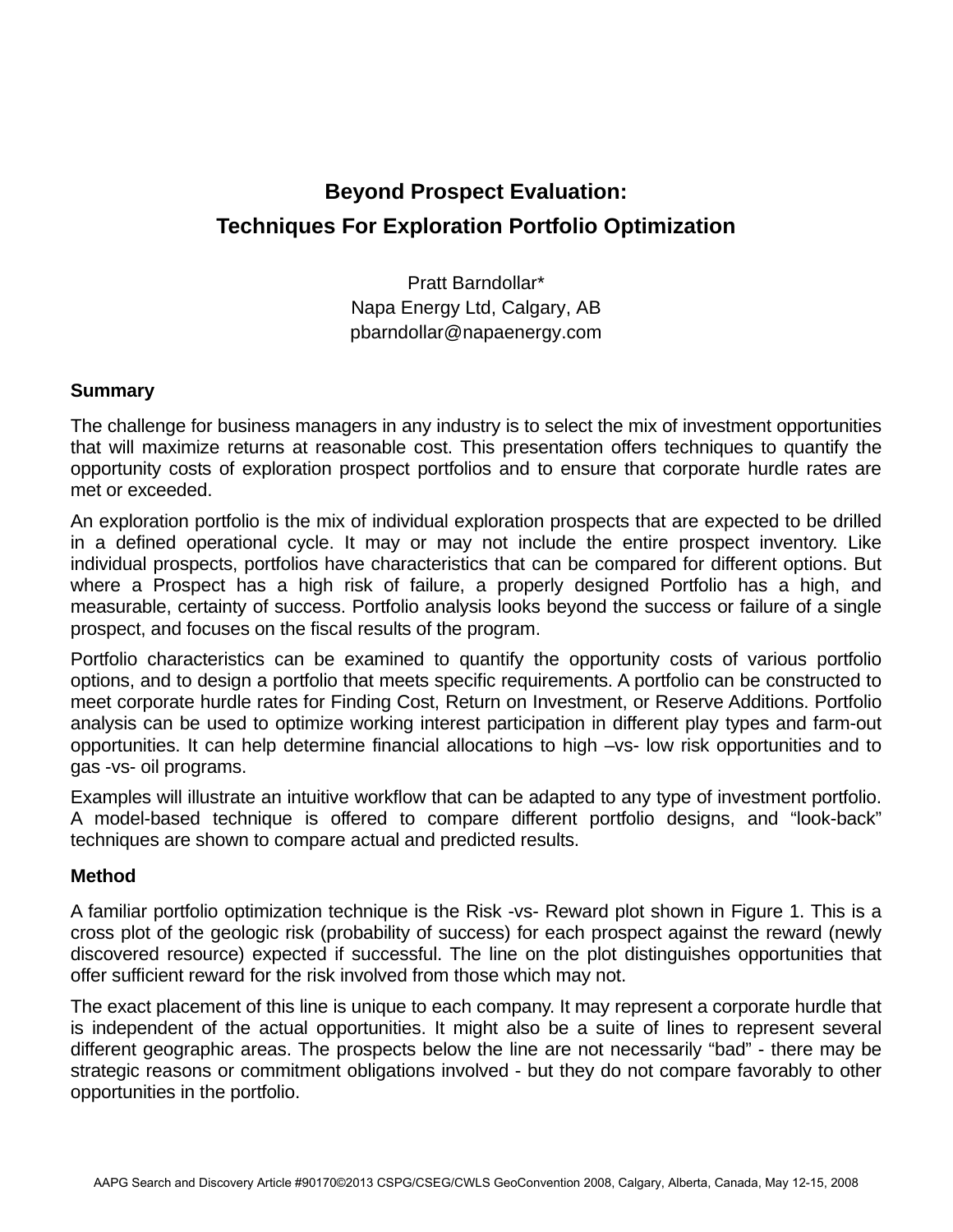## **Beyond Prospect Evaluation: Techniques For Exploration Portfolio Optimization**

Pratt Barndollar\* Napa Energy Ltd, Calgary, AB pbarndollar@napaenergy.com

## **Summary**

The challenge for business managers in any industry is to select the mix of investment opportunities that will maximize returns at reasonable cost. This presentation offers techniques to quantify the opportunity costs of exploration prospect portfolios and to ensure that corporate hurdle rates are met or exceeded.

An exploration portfolio is the mix of individual exploration prospects that are expected to be drilled in a defined operational cycle. It may or may not include the entire prospect inventory. Like individual prospects, portfolios have characteristics that can be compared for different options. But where a Prospect has a high risk of failure, a properly designed Portfolio has a high, and measurable, certainty of success. Portfolio analysis looks beyond the success or failure of a single prospect, and focuses on the fiscal results of the program.

Portfolio characteristics can be examined to quantify the opportunity costs of various portfolio options, and to design a portfolio that meets specific requirements. A portfolio can be constructed to meet corporate hurdle rates for Finding Cost, Return on Investment, or Reserve Additions. Portfolio analysis can be used to optimize working interest participation in different play types and farm-out opportunities. It can help determine financial allocations to high –vs- low risk opportunities and to gas -vs- oil programs.

Examples will illustrate an intuitive workflow that can be adapted to any type of investment portfolio. A model-based technique is offered to compare different portfolio designs, and "look-back" techniques are shown to compare actual and predicted results.

## **Method**

A familiar portfolio optimization technique is the Risk -vs- Reward plot shown in Figure 1. This is a cross plot of the geologic risk (probability of success) for each prospect against the reward (newly discovered resource) expected if successful. The line on the plot distinguishes opportunities that offer sufficient reward for the risk involved from those which may not.

The exact placement of this line is unique to each company. It may represent a corporate hurdle that is independent of the actual opportunities. It might also be a suite of lines to represent several different geographic areas. The prospects below the line are not necessarily "bad" - there may be strategic reasons or commitment obligations involved - but they do not compare favorably to other opportunities in the portfolio.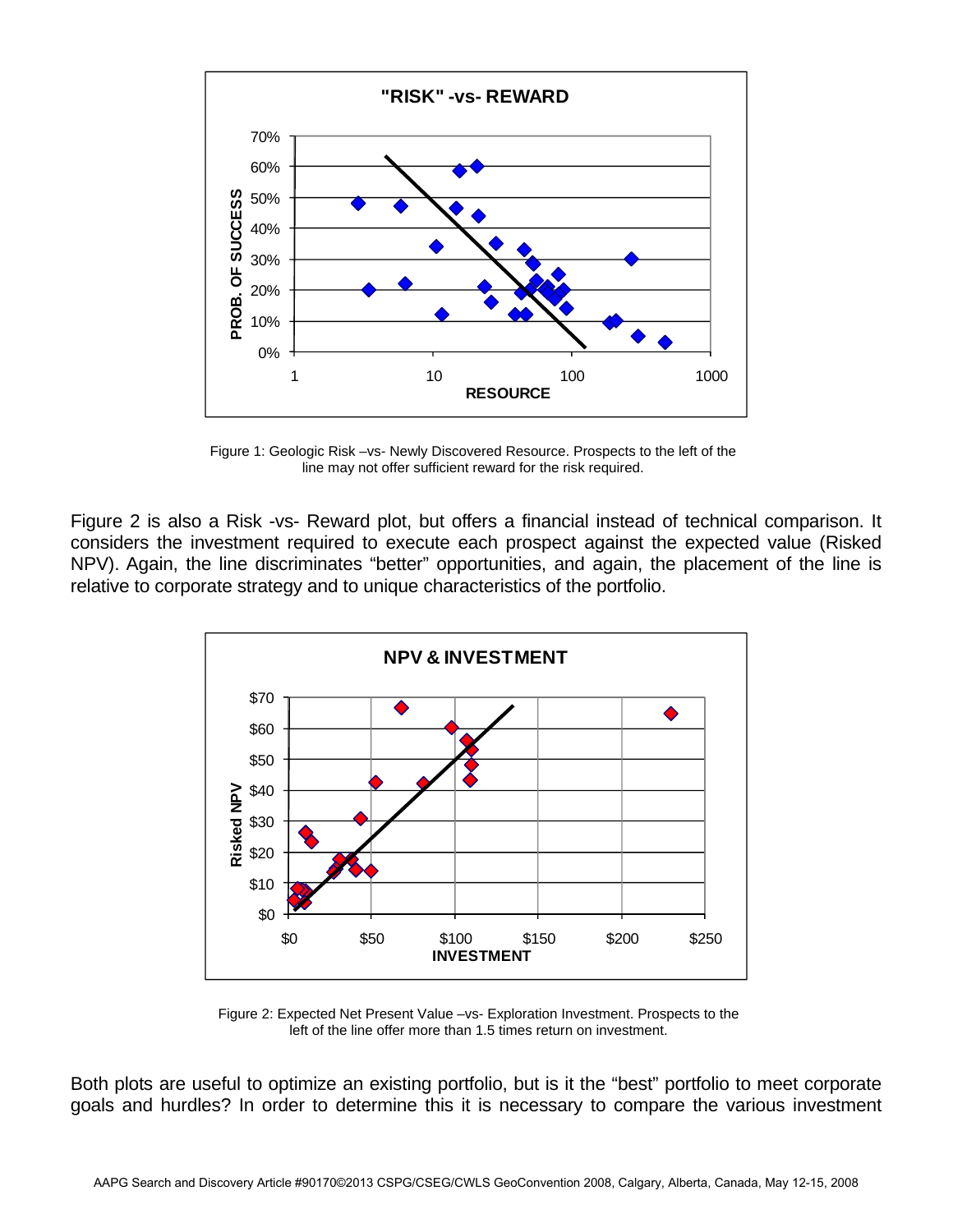

Figure 1: Geologic Risk –vs- Newly Discovered Resource. Prospects to the left of the line may not offer sufficient reward for the risk required.

Figure 2 is also a Risk -vs- Reward plot, but offers a financial instead of technical comparison. It considers the investment required to execute each prospect against the expected value (Risked NPV). Again, the line discriminates "better" opportunities, and again, the placement of the line is relative to corporate strategy and to unique characteristics of the portfolio.



Figure 2: Expected Net Present Value –vs- Exploration Investment. Prospects to the left of the line offer more than 1.5 times return on investment.

Both plots are useful to optimize an existing portfolio, but is it the "best" portfolio to meet corporate goals and hurdles? In order to determine this it is necessary to compare the various investment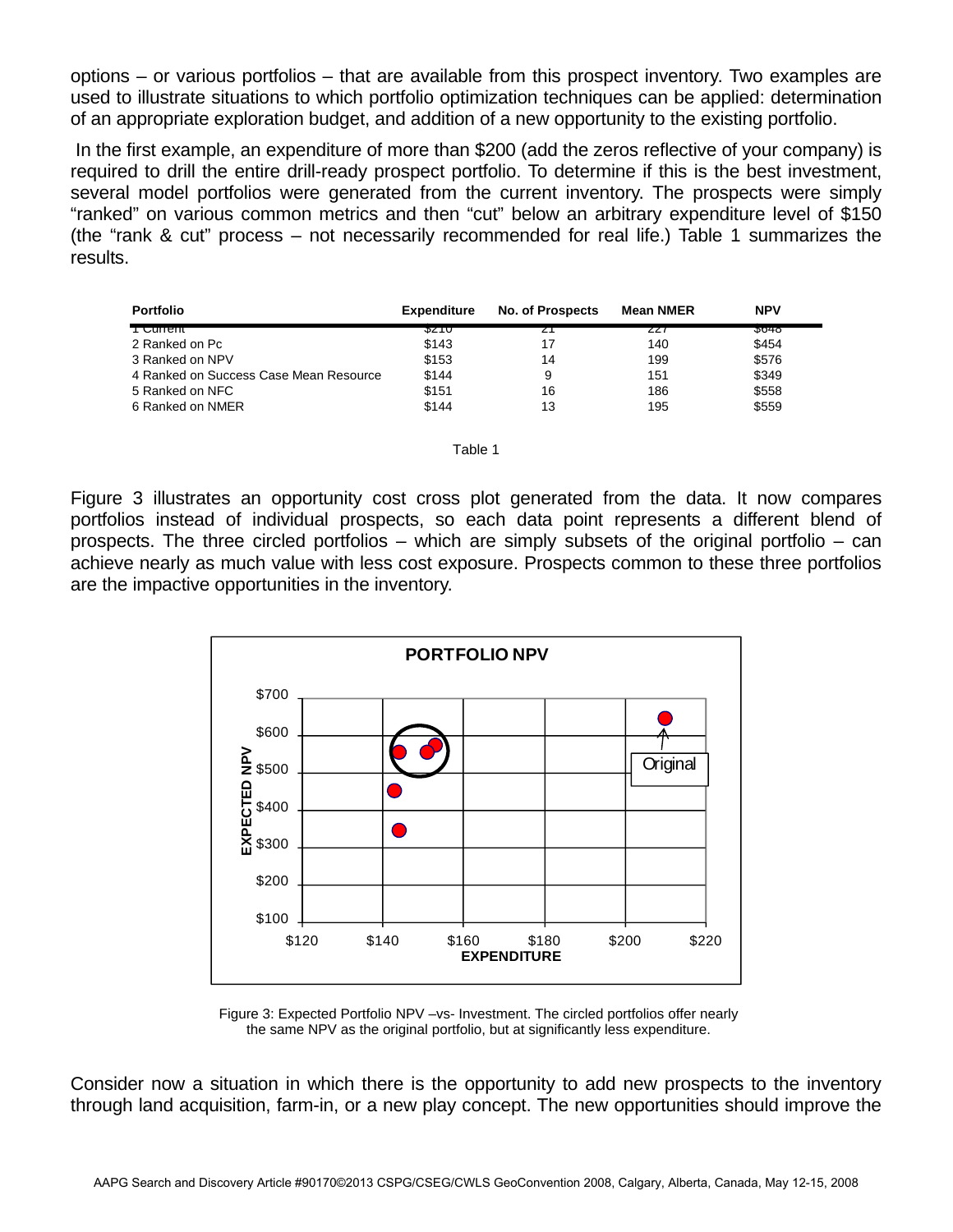options – or various portfolios – that are available from this prospect inventory. Two examples are used to illustrate situations to which portfolio optimization techniques can be applied: determination of an appropriate exploration budget, and addition of a new opportunity to the existing portfolio.

 In the first example, an expenditure of more than \$200 (add the zeros reflective of your company) is required to drill the entire drill-ready prospect portfolio. To determine if this is the best investment, several model portfolios were generated from the current inventory. The prospects were simply "ranked" on various common metrics and then "cut" below an arbitrary expenditure level of \$150 (the "rank & cut" process – not necessarily recommended for real life.) Table 1 summarizes the results.

| <b>Portfolio</b>                       | <b>Expenditure</b> | No. of Prospects | <b>Mean NMER</b> | <b>NPV</b>  |
|----------------------------------------|--------------------|------------------|------------------|-------------|
| <del>i Cunent</del>                    | ১∠⊺∪               |                  | ZZT              | <b>J040</b> |
| 2 Ranked on Pc                         | \$143              | 17               | 140              | \$454       |
| 3 Ranked on NPV                        | \$153              | 14               | 199              | \$576       |
| 4 Ranked on Success Case Mean Resource | \$144              | 9                | 151              | \$349       |
| 5 Ranked on NFC                        | \$151              | 16               | 186              | \$558       |
| 6 Ranked on NMER                       | \$144              | 13               | 195              | \$559       |

|        | . . |  |
|--------|-----|--|
| ×<br>۹ |     |  |

Figure 3 illustrates an opportunity cost cross plot generated from the data. It now compares portfolios instead of individual prospects, so each data point represents a different blend of prospects. The three circled portfolios – which are simply subsets of the original portfolio – can achieve nearly as much value with less cost exposure. Prospects common to these three portfolios are the impactive opportunities in the inventory.



Figure 3: Expected Portfolio NPV –vs- Investment. The circled portfolios offer nearly the same NPV as the original portfolio, but at significantly less expenditure.

Consider now a situation in which there is the opportunity to add new prospects to the inventory through land acquisition, farm-in, or a new play concept. The new opportunities should improve the